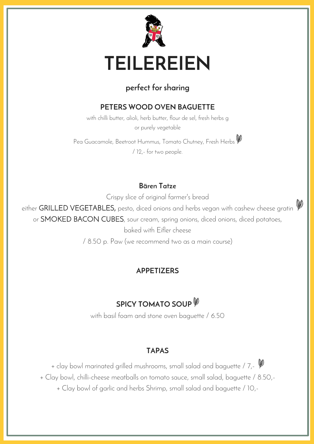

### **perfect for sharing**

### **PETERS WOOD OVEN BAGUETTE**

with chilli butter, alioli, herb butter, flour de sel, fresh herbs g or purely vegetable

Pea Guacamole, Beetroot Hummus, Tomato Chutney, Fresh Herbs / 12,- for two people.

#### **Bären Tatze**

Crispy slice of original farmer's bread

either GRILLED VEGETABLES, pesto, diced onions and herbs vegan with cashew cheese gratin

or SMOKED BACON CUBES, sour cream, spring onions, diced onions, diced potatoes,

baked with Eifler cheese

/ 8.50 p. Paw (we recommend two as a main course)

#### **APPETIZERS**

### **SPICY TOMATO SOUP**

with basil foam and stone oven baguette / 6.50

#### **TAPAS**

+ clay bowl marinated grilled mushrooms, small salad and baguette / 7,-

+ Clay bowl, chilli-cheese meatballs on tomato sauce, small salad, baguette / 8.50,-

+ Clay bowl of garlic and herbs Shrimp, small salad and baguette / 10,-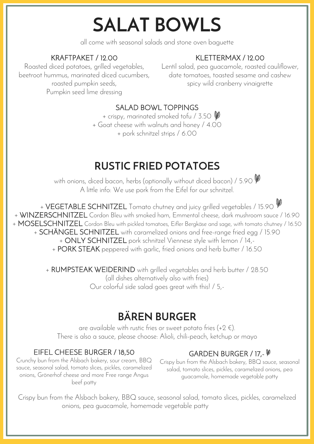# **SALAT BOWLS**

all come with seasonal salads and stone oven baguette

### KRAFTPAKET / 12.00

### KLETTERMAX / 12.00

Roasted diced potatoes, grilled vegetables, beetroot hummus, marinated diced cucumbers, roasted pumpkin seeds, Pumpkin seed lime dressing

Lentil salad, pea guacamole, roasted cauliflower, date tomatoes, toasted sesame and cashew spicy wild cranberry vinaigrette

### SALAD BOWL TOPPINGS

+ crispy, marinated smoked tofu / 3.50

+ Goat cheese with walnuts and honey / 4.00

+ pork schnitzel strips / 6.00

### **RUSTIC FRIED POTATOES**

with onions, diced bacon, herbs (optionally without diced bacon) / 5.90  $\mathscr V$ A little info: We use pork from the Eifel for our schnitzel.

+ VEGETABLE SCHNITZEL Tomato chutney and juicy grilled vegetables / 15.90 + WINZERSCHNITZEL Cordon Bleu with smoked ham, Emmental cheese, dark mushroom sauce / 16.90 + MOSELSCHNITZEL Cordon Bleu with pickled tomatoes, Eifler Bergkäse and sage, with tomato chutney / 16.50 + SCHÄNGEL SCHNITZEL with caramelized onions and free-range fried egg / 15.90

+ ONLY SCHNITZEL pork schnitzel Viennese style with lemon / 14,-

+ PORK STEAK peppered with garlic, fried onions and herb butter / 16.50

+ RUMPSTEAK WEIDERIND with grilled vegetables and herb butter / 28.50 (all dishes alternatively also with fries) Our colorful side salad goes great with this! / 5,-

### **BÄREN BURGER**

are available with rustic fries or sweet potato fries  $(+2 \in)$ . There is also a sauce, please choose: Alioli, chili-peach, ketchup or mayo

### EIFEL CHEESE BURGER / 18,50

Crunchy bun from the Alsbach bakery, sour cream, BBQ sauce, seasonal salad, tomato slices, pickles, caramelized onions, Grönerhof cheese and more Free range Angus beef patty

### GARDEN BURGER / 17,-  $\mathscr{V}$

Crispy bun from the Alsbach bakery, BBQ sauce, seasonal salad, tomato slices, pickles, caramelized onions, pea guacamole, homemade vegetable patty

Crispy bun from the Alsbach bakery, BBQ sauce, seasonal salad, tomato slices, pickles, caramelized onions, pea quacamole, homemade vegetable patty.